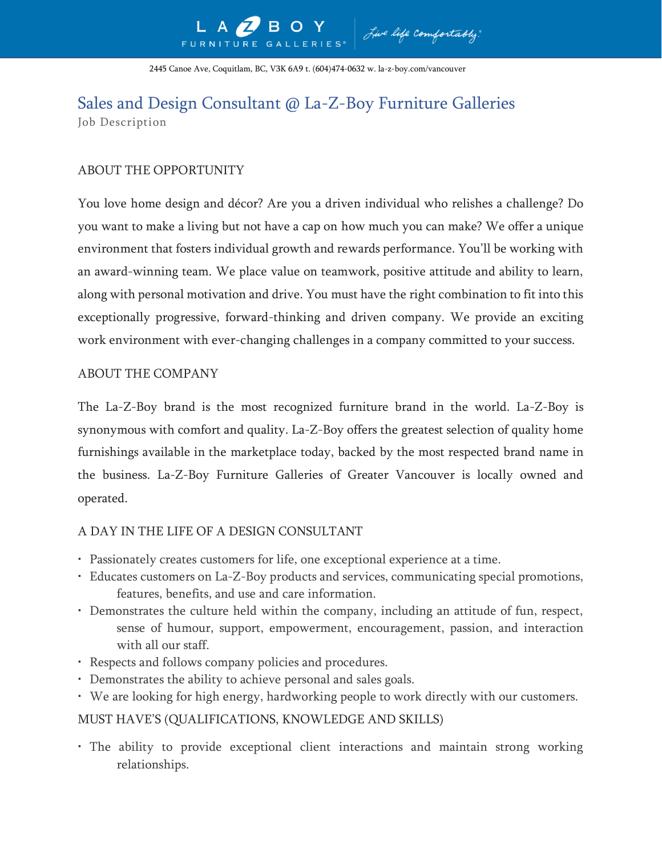2445 Canoe Ave, Coquitlam, BC, V3K 6A9 t. (604)474-0632 w. la-z-boy.com/vancouver

# Sales and Design Consultant @ La-Z-Boy Furniture Galleries Job Description

# ABOUT THE OPPORTUNITY

You love home design and décor? Are you a driven individual who relishes a challenge? Do you want to make a living but not have a cap on how much you can make? We offer a unique environment that fosters individual growth and rewards performance. You'll be working with an award-winning team. We place value on teamwork, positive attitude and ability to learn, along with personal motivation and drive. You must have the right combination to fit into this exceptionally progressive, forward-thinking and driven company. We provide an exciting work environment with ever-changing challenges in a company committed to your success.

### ABOUT THE COMPANY

The La-Z-Boy brand is the most recognized furniture brand in the world. La-Z-Boy is synonymous with comfort and quality. La-Z-Boy offers the greatest selection of quality home furnishings available in the marketplace today, backed by the most respected brand name in the business. La-Z-Boy Furniture Galleries of Greater Vancouver is locally owned and operated.

#### A DAY IN THE LIFE OF A DESIGN CONSULTANT

- Passionately creates customers for life, one exceptional experience at a time.
- Educates customers on La-Z-Boy products and services, communicating special promotions, features, benefits, and use and care information.
- Demonstrates the culture held within the company, including an attitude of fun, respect, sense of humour, support, empowerment, encouragement, passion, and interaction with all our staff.
- Respects and follows company policies and procedures.
- Demonstrates the ability to achieve personal and sales goals.
- We are looking for high energy, hardworking people to work directly with our customers.

## MUST HAVE'S (QUALIFICATIONS, KNOWLEDGE AND SKILLS)

• The ability to provide exceptional client interactions and maintain strong working relationships.